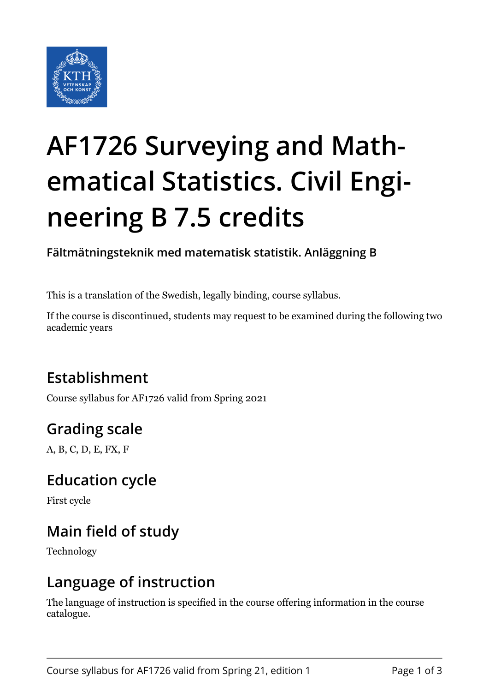

# **AF1726 Surveying and Mathematical Statistics. Civil Engineering B 7.5 credits**

**Fältmätningsteknik med matematisk statistik. Anläggning B**

This is a translation of the Swedish, legally binding, course syllabus.

If the course is discontinued, students may request to be examined during the following two academic years

## **Establishment**

Course syllabus for AF1726 valid from Spring 2021

# **Grading scale**

A, B, C, D, E, FX, F

#### **Education cycle**

First cycle

# **Main field of study**

Technology

#### **Language of instruction**

The language of instruction is specified in the course offering information in the course catalogue.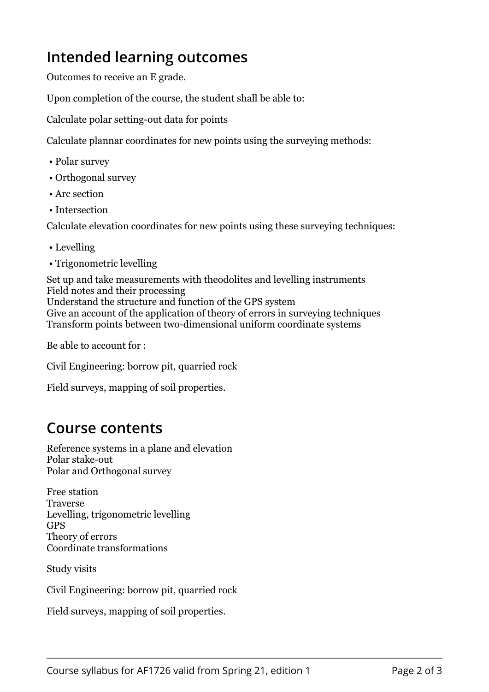## **Intended learning outcomes**

Outcomes to receive an E grade.

Upon completion of the course, the student shall be able to:

Calculate polar setting-out data for points

Calculate plannar coordinates for new points using the surveying methods:

- Polar survey
- Orthogonal survey
- Arc section
- Intersection

Calculate elevation coordinates for new points using these surveying techniques:

- Levelling
- Trigonometric levelling

Set up and take measurements with theodolites and levelling instruments Field notes and their processing Understand the structure and function of the GPS system Give an account of the application of theory of errors in surveying techniques Transform points between two-dimensional uniform coordinate systems

Be able to account for :

Civil Engineering: borrow pit, quarried rock

Field surveys, mapping of soil properties.

#### **Course contents**

Reference systems in a plane and elevation Polar stake-out Polar and Orthogonal survey

Free station **Traverse** Levelling, trigonometric levelling GPS Theory of errors Coordinate transformations

Study visits

Civil Engineering: borrow pit, quarried rock

Field surveys, mapping of soil properties.